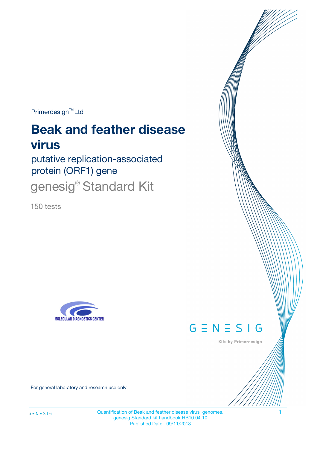Primerdesign<sup>™</sup>Ltd

# **Beak and feather disease virus**

putative replication-associated protein (ORF1) gene genesig® Standard Kit

150 tests





Kits by Primerdesign

For general laboratory and research use only

Quantification of Beak and feather disease virus genomes. 1 genesig Standard kit handbook HB10.04.10 Published Date: 09/11/2018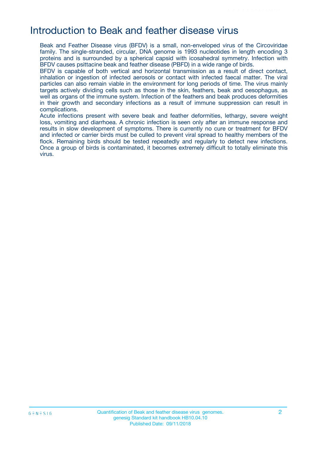### Introduction to Beak and feather disease virus

Beak and Feather Disease virus (BFDV) is a small, non-enveloped virus of the Circoviridae family. The single-stranded, circular, DNA genome is 1993 nucleotides in length encoding 3 proteins and is surrounded by a spherical capsid with icosahedral symmetry. Infection with BFDV causes psittacine beak and feather disease (PBFD) in a wide range of birds.

BFDV is capable of both vertical and horizontal transmission as a result of direct contact, inhalation or ingestion of infected aerosols or contact with infected faecal matter. The viral particles can also remain viable in the environment for long periods of time. The virus mainly targets actively dividing cells such as those in the skin, feathers, beak and oesophagus, as well as organs of the immune system. Infection of the feathers and beak produces deformities in their growth and secondary infections as a result of immune suppression can result in complications.

Acute infections present with severe beak and feather deformities, lethargy, severe weight loss, vomiting and diarrhoea. A chronic infection is seen only after an immune response and results in slow development of symptoms. There is currently no cure or treatment for BFDV and infected or carrier birds must be culled to prevent viral spread to healthy members of the flock. Remaining birds should be tested repeatedly and regularly to detect new infections. Once a group of birds is contaminated, it becomes extremely difficult to totally eliminate this virus.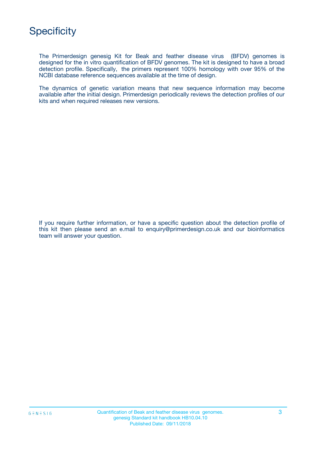The Primerdesign genesig Kit for Beak and feather disease virus (BFDV) genomes is designed for the in vitro quantification of BFDV genomes. The kit is designed to have a broad detection profile. Specifically, the primers represent 100% homology with over 95% of the NCBI database reference sequences available at the time of design.

The dynamics of genetic variation means that new sequence information may become available after the initial design. Primerdesign periodically reviews the detection profiles of our kits and when required releases new versions.

If you require further information, or have a specific question about the detection profile of this kit then please send an e.mail to enquiry@primerdesign.co.uk and our bioinformatics team will answer your question.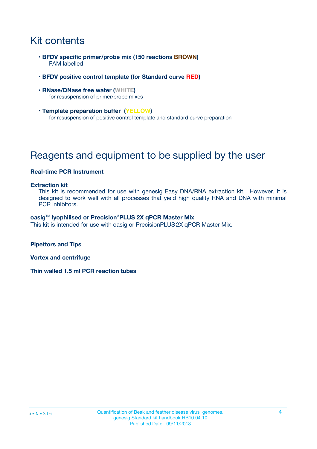# Kit contents

- **BFDV specific primer/probe mix (150 reactions BROWN)** FAM labelled
- **BFDV positive control template (for Standard curve RED)**
- **RNase/DNase free water (WHITE)** for resuspension of primer/probe mixes
- **Template preparation buffer (YELLOW)** for resuspension of positive control template and standard curve preparation

# Reagents and equipment to be supplied by the user

#### **Real-time PCR Instrument**

#### **Extraction kit**

This kit is recommended for use with genesig Easy DNA/RNA extraction kit. However, it is designed to work well with all processes that yield high quality RNA and DNA with minimal PCR inhibitors.

#### **oasig**TM **lyophilised or Precision**®**PLUS 2X qPCR Master Mix**

This kit is intended for use with oasig or PrecisionPLUS2X qPCR Master Mix.

**Pipettors and Tips**

**Vortex and centrifuge**

**Thin walled 1.5 ml PCR reaction tubes**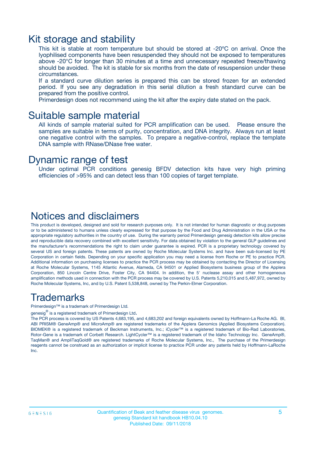### Kit storage and stability

This kit is stable at room temperature but should be stored at -20ºC on arrival. Once the lyophilised components have been resuspended they should not be exposed to temperatures above -20°C for longer than 30 minutes at a time and unnecessary repeated freeze/thawing should be avoided. The kit is stable for six months from the date of resuspension under these circumstances.

If a standard curve dilution series is prepared this can be stored frozen for an extended period. If you see any degradation in this serial dilution a fresh standard curve can be prepared from the positive control.

Primerdesign does not recommend using the kit after the expiry date stated on the pack.

### Suitable sample material

All kinds of sample material suited for PCR amplification can be used. Please ensure the samples are suitable in terms of purity, concentration, and DNA integrity. Always run at least one negative control with the samples. To prepare a negative-control, replace the template DNA sample with RNase/DNase free water.

### Dynamic range of test

Under optimal PCR conditions genesig BFDV detection kits have very high priming efficiencies of >95% and can detect less than 100 copies of target template.

### Notices and disclaimers

This product is developed, designed and sold for research purposes only. It is not intended for human diagnostic or drug purposes or to be administered to humans unless clearly expressed for that purpose by the Food and Drug Administration in the USA or the appropriate regulatory authorities in the country of use. During the warranty period Primerdesign genesig detection kits allow precise and reproducible data recovery combined with excellent sensitivity. For data obtained by violation to the general GLP guidelines and the manufacturer's recommendations the right to claim under guarantee is expired. PCR is a proprietary technology covered by several US and foreign patents. These patents are owned by Roche Molecular Systems Inc. and have been sub-licensed by PE Corporation in certain fields. Depending on your specific application you may need a license from Roche or PE to practice PCR. Additional information on purchasing licenses to practice the PCR process may be obtained by contacting the Director of Licensing at Roche Molecular Systems, 1145 Atlantic Avenue, Alameda, CA 94501 or Applied Biosystems business group of the Applera Corporation, 850 Lincoln Centre Drive, Foster City, CA 94404. In addition, the 5' nuclease assay and other homogeneous amplification methods used in connection with the PCR process may be covered by U.S. Patents 5,210,015 and 5,487,972, owned by Roche Molecular Systems, Inc, and by U.S. Patent 5,538,848, owned by The Perkin-Elmer Corporation.

### Trademarks

Primerdesign™ is a trademark of Primerdesign Ltd.

genesig $^\circledR$  is a registered trademark of Primerdesign Ltd.

The PCR process is covered by US Patents 4,683,195, and 4,683,202 and foreign equivalents owned by Hoffmann-La Roche AG. BI, ABI PRISM® GeneAmp® and MicroAmp® are registered trademarks of the Applera Genomics (Applied Biosystems Corporation). BIOMEK® is a registered trademark of Beckman Instruments, Inc.; iCycler™ is a registered trademark of Bio-Rad Laboratories, Rotor-Gene is a trademark of Corbett Research. LightCycler™ is a registered trademark of the Idaho Technology Inc. GeneAmp®, TaqMan® and AmpliTaqGold® are registered trademarks of Roche Molecular Systems, Inc., The purchase of the Primerdesign reagents cannot be construed as an authorization or implicit license to practice PCR under any patents held by Hoffmann-LaRoche Inc.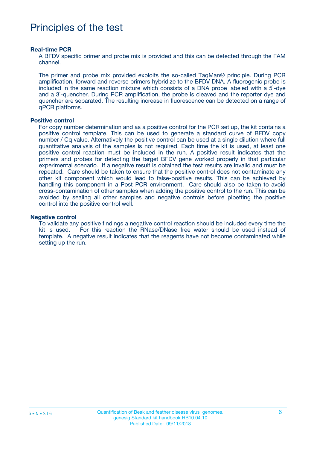# Principles of the test

#### **Real-time PCR**

A BFDV specific primer and probe mix is provided and this can be detected through the FAM channel.

The primer and probe mix provided exploits the so-called TaqMan® principle. During PCR amplification, forward and reverse primers hybridize to the BFDV DNA. A fluorogenic probe is included in the same reaction mixture which consists of a DNA probe labeled with a 5`-dye and a 3`-quencher. During PCR amplification, the probe is cleaved and the reporter dye and quencher are separated. The resulting increase in fluorescence can be detected on a range of qPCR platforms.

#### **Positive control**

For copy number determination and as a positive control for the PCR set up, the kit contains a positive control template. This can be used to generate a standard curve of BFDV copy number / Cq value. Alternatively the positive control can be used at a single dilution where full quantitative analysis of the samples is not required. Each time the kit is used, at least one positive control reaction must be included in the run. A positive result indicates that the primers and probes for detecting the target BFDV gene worked properly in that particular experimental scenario. If a negative result is obtained the test results are invalid and must be repeated. Care should be taken to ensure that the positive control does not contaminate any other kit component which would lead to false-positive results. This can be achieved by handling this component in a Post PCR environment. Care should also be taken to avoid cross-contamination of other samples when adding the positive control to the run. This can be avoided by sealing all other samples and negative controls before pipetting the positive control into the positive control well.

#### **Negative control**

To validate any positive findings a negative control reaction should be included every time the kit is used. For this reaction the RNase/DNase free water should be used instead of template. A negative result indicates that the reagents have not become contaminated while setting up the run.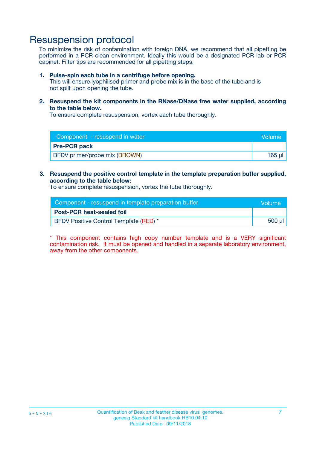## Resuspension protocol

To minimize the risk of contamination with foreign DNA, we recommend that all pipetting be performed in a PCR clean environment. Ideally this would be a designated PCR lab or PCR cabinet. Filter tips are recommended for all pipetting steps.

#### **1. Pulse-spin each tube in a centrifuge before opening.**

This will ensure lyophilised primer and probe mix is in the base of the tube and is not spilt upon opening the tube.

**2. Resuspend the kit components in the RNase/DNase free water supplied, according to the table below.**

To ensure complete resuspension, vortex each tube thoroughly.

| Component - resuspend in water<br>Volume |        |
|------------------------------------------|--------|
| <b>Pre-PCR pack</b>                      |        |
| <b>BFDV</b> primer/probe mix (BROWN)     | 165 ul |

### **3. Resuspend the positive control template in the template preparation buffer supplied, according to the table below:**

To ensure complete resuspension, vortex the tube thoroughly.

| Component - resuspend in template preparation buffer | lVolume' |
|------------------------------------------------------|----------|
| <b>Post-PCR heat-sealed foil</b>                     |          |
| BFDV Positive Control Template (RED) *               | 500 µl   |

\* This component contains high copy number template and is a VERY significant contamination risk. It must be opened and handled in a separate laboratory environment, away from the other components.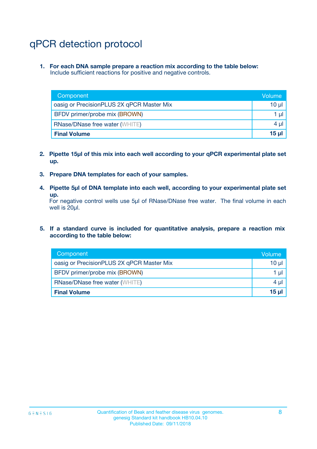# qPCR detection protocol

**1. For each DNA sample prepare a reaction mix according to the table below:** Include sufficient reactions for positive and negative controls.

| Component                                 | Volume          |
|-------------------------------------------|-----------------|
| oasig or PrecisionPLUS 2X qPCR Master Mix | 10 $\mu$        |
| BFDV primer/probe mix (BROWN)             | 1 $\mu$         |
| <b>RNase/DNase free water (WHITE)</b>     | $4 \mu$         |
| <b>Final Volume</b>                       | 15 <sub>µ</sub> |

- **2. Pipette 15µl of this mix into each well according to your qPCR experimental plate set up.**
- **3. Prepare DNA templates for each of your samples.**
- **4. Pipette 5µl of DNA template into each well, according to your experimental plate set up.**

For negative control wells use 5µl of RNase/DNase free water. The final volume in each well is 20µl.

**5. If a standard curve is included for quantitative analysis, prepare a reaction mix according to the table below:**

| Component                                 | Volume          |
|-------------------------------------------|-----------------|
| oasig or PrecisionPLUS 2X qPCR Master Mix | $10 \mu$        |
| BFDV primer/probe mix (BROWN)             | 1 µI            |
| <b>RNase/DNase free water (WHITE)</b>     | $4 \mu$         |
| <b>Final Volume</b>                       | 15 <sub>µ</sub> |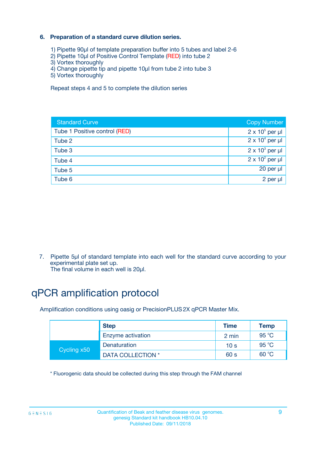### **6. Preparation of a standard curve dilution series.**

- 1) Pipette 90µl of template preparation buffer into 5 tubes and label 2-6
- 2) Pipette 10µl of Positive Control Template (RED) into tube 2
- 3) Vortex thoroughly
- 4) Change pipette tip and pipette 10µl from tube 2 into tube 3
- 5) Vortex thoroughly

Repeat steps 4 and 5 to complete the dilution series

| <b>Standard Curve</b>         | <b>Copy Number</b>     |
|-------------------------------|------------------------|
| Tube 1 Positive control (RED) | $2 \times 10^5$ per µl |
| Tube 2                        | $2 \times 10^4$ per µl |
| Tube 3                        | $2 \times 10^3$ per µl |
| Tube 4                        | $2 \times 10^2$ per µl |
| Tube 5                        | 20 per µl              |
| Tube 6                        | 2 per ul               |

7. Pipette 5µl of standard template into each well for the standard curve according to your experimental plate set up.

The final volume in each well is 20µl.

# qPCR amplification protocol

Amplification conditions using oasig or PrecisionPLUS2X qPCR Master Mix.

|             | <b>Step</b>       | <b>Time</b>     | Temp           |
|-------------|-------------------|-----------------|----------------|
|             | Enzyme activation | 2 min           | $95^{\circ}$ C |
| Cycling x50 | Denaturation      | 10 <sub>s</sub> | 95 $°C$        |
|             | DATA COLLECTION * | 60 s            | 60 °C          |

\* Fluorogenic data should be collected during this step through the FAM channel